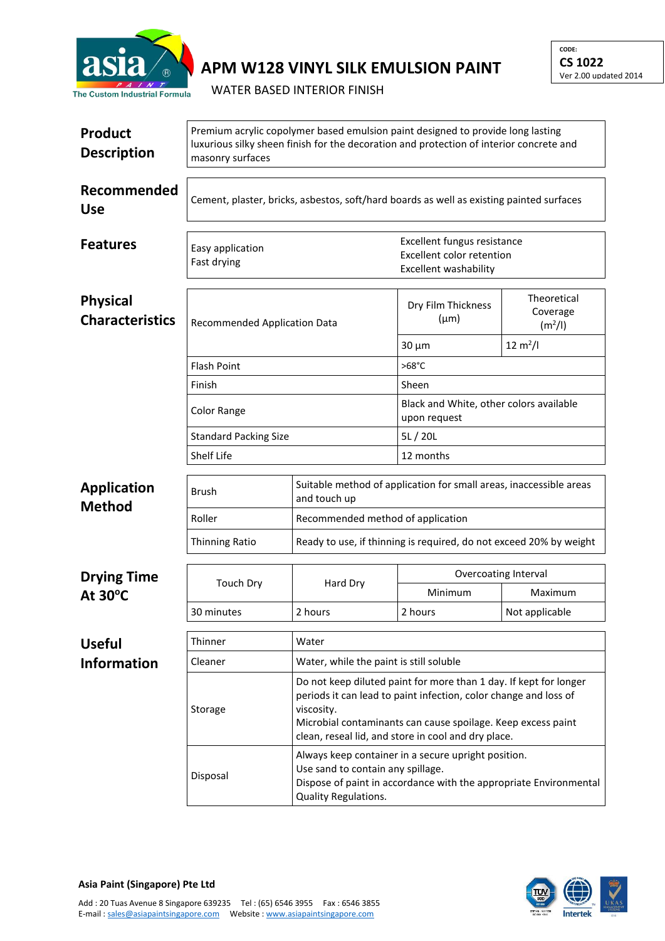

## **APM W128 VINYL SILK EMULSION PAINT**

WATER BASED INTERIOR FINISH

| <b>Product</b><br><b>Description</b>      | Premium acrylic copolymer based emulsion paint designed to provide long lasting<br>luxurious silky sheen finish for the decoration and protection of interior concrete and<br>masonry surfaces |                                                                                                                                                                                                                                                                            |                                                                                          |                                                |  |  |
|-------------------------------------------|------------------------------------------------------------------------------------------------------------------------------------------------------------------------------------------------|----------------------------------------------------------------------------------------------------------------------------------------------------------------------------------------------------------------------------------------------------------------------------|------------------------------------------------------------------------------------------|------------------------------------------------|--|--|
| Recommended<br><b>Use</b>                 | Cement, plaster, bricks, asbestos, soft/hard boards as well as existing painted surfaces                                                                                                       |                                                                                                                                                                                                                                                                            |                                                                                          |                                                |  |  |
| <b>Features</b>                           | Easy application<br>Fast drying                                                                                                                                                                |                                                                                                                                                                                                                                                                            | Excellent fungus resistance<br><b>Excellent color retention</b><br>Excellent washability |                                                |  |  |
| <b>Physical</b><br><b>Characteristics</b> | Recommended Application Data                                                                                                                                                                   |                                                                                                                                                                                                                                                                            | Dry Film Thickness<br>$(\mu m)$                                                          | Theoretical<br>Coverage<br>(m <sup>2</sup> /I) |  |  |
|                                           |                                                                                                                                                                                                |                                                                                                                                                                                                                                                                            | $30 \mu m$                                                                               | $12 \text{ m}^2/l$                             |  |  |
|                                           | <b>Flash Point</b>                                                                                                                                                                             |                                                                                                                                                                                                                                                                            | $>68^{\circ}$ C                                                                          |                                                |  |  |
|                                           | Finish                                                                                                                                                                                         |                                                                                                                                                                                                                                                                            | Sheen                                                                                    |                                                |  |  |
|                                           | <b>Color Range</b>                                                                                                                                                                             |                                                                                                                                                                                                                                                                            | Black and White, other colors available<br>upon request                                  |                                                |  |  |
|                                           | <b>Standard Packing Size</b><br>Shelf Life                                                                                                                                                     |                                                                                                                                                                                                                                                                            | 5L/20L                                                                                   |                                                |  |  |
|                                           |                                                                                                                                                                                                |                                                                                                                                                                                                                                                                            | 12 months                                                                                |                                                |  |  |
| <b>Application</b><br><b>Method</b>       | Brush                                                                                                                                                                                          | Suitable method of application for small areas, inaccessible areas<br>and touch up                                                                                                                                                                                         |                                                                                          |                                                |  |  |
|                                           | Roller                                                                                                                                                                                         | Recommended method of application                                                                                                                                                                                                                                          |                                                                                          |                                                |  |  |
|                                           | <b>Thinning Ratio</b>                                                                                                                                                                          | Ready to use, if thinning is required, do not exceed 20% by weight                                                                                                                                                                                                         |                                                                                          |                                                |  |  |
| <b>Drying Time</b>                        | <b>Touch Dry</b>                                                                                                                                                                               | Hard Dry                                                                                                                                                                                                                                                                   | Overcoating Interval                                                                     |                                                |  |  |
| At $30^{\circ}$ C                         |                                                                                                                                                                                                |                                                                                                                                                                                                                                                                            | Minimum                                                                                  | Maximum                                        |  |  |
|                                           | 30 minutes                                                                                                                                                                                     | 2 hours                                                                                                                                                                                                                                                                    | 2 hours                                                                                  | Not applicable                                 |  |  |
| <b>Useful</b>                             | Thinner                                                                                                                                                                                        | Water                                                                                                                                                                                                                                                                      |                                                                                          |                                                |  |  |
| <b>Information</b>                        | Cleaner                                                                                                                                                                                        | Water, while the paint is still soluble                                                                                                                                                                                                                                    |                                                                                          |                                                |  |  |
|                                           | Storage                                                                                                                                                                                        | Do not keep diluted paint for more than 1 day. If kept for longer<br>periods it can lead to paint infection, color change and loss of<br>viscosity.<br>Microbial contaminants can cause spoilage. Keep excess paint<br>clean, reseal lid, and store in cool and dry place. |                                                                                          |                                                |  |  |
|                                           | Disposal                                                                                                                                                                                       | Always keep container in a secure upright position.<br>Use sand to contain any spillage.<br>Dispose of paint in accordance with the appropriate Environmental<br>Quality Regulations.                                                                                      |                                                                                          |                                                |  |  |